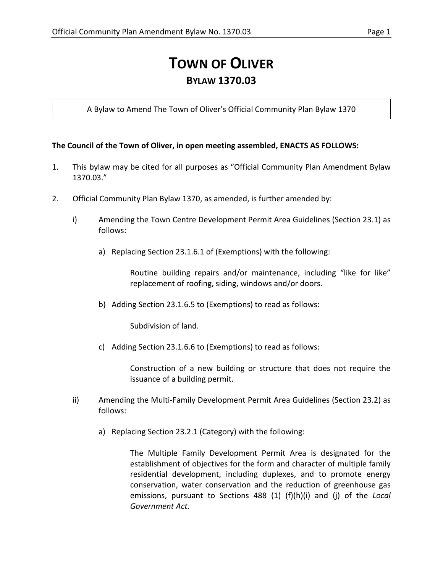## **TOWN OF OLIVER BYLAW 1370.03**

A Bylaw to Amend The Town of Oliver's Official Community Plan Bylaw 1370

## **The Council of the Town of Oliver, in open meeting assembled, ENACTS AS FOLLOWS:**

- 1. This bylaw may be cited for all purposes as "Official Community Plan Amendment Bylaw 1370.03."
- 2. Official Community Plan Bylaw 1370, as amended, is further amended by:
	- i) Amending the Town Centre Development Permit Area Guidelines (Section 23.1) as follows:
		- a) Replacing Section 23.1.6.1 of (Exemptions) with the following:

Routine building repairs and/or maintenance, including "like for like" replacement of roofing, siding, windows and/or doors.

b) Adding Section 23.1.6.5 to (Exemptions) to read as follows:

Subdivision of land.

c) Adding Section 23.1.6.6 to (Exemptions) to read as follows:

Construction of a new building or structure that does not require the issuance of a building permit.

- ii) Amending the Multi-Family Development Permit Area Guidelines (Section 23.2) as follows:
	- a) Replacing Section 23.2.1 (Category) with the following:

The Multiple Family Development Permit Area is designated for the establishment of objectives for the form and character of multiple family residential development, including duplexes, and to promote energy conservation, water conservation and the reduction of greenhouse gas emissions, pursuant to Sections 488 (1) (f)(h)(i) and (j) of the *Local Government Act.*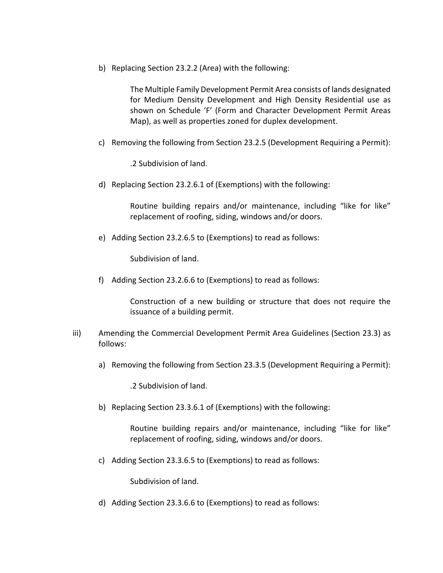b) Replacing Section 23.2.2 (Area) with the following:

The Multiple Family Development Permit Area consists of lands designated for Medium Density Development and High Density Residential use as shown on Schedule 'F' (Form and Character Development Permit Areas Map), as well as properties zoned for duplex development.

c) Removing the following from Section 23.2.5 (Development Requiring a Permit):

.2 Subdivision of land.

d) Replacing Section 23.2.6.1 of (Exemptions) with the following:

Routine building repairs and/or maintenance, including "like for like" replacement of roofing, siding, windows and/or doors.

e) Adding Section 23.2.6.5 to (Exemptions) to read as follows:

Subdivision of land.

f) Adding Section 23.2.6.6 to (Exemptions) to read as follows:

Construction of a new building or structure that does not require the issuance of a building permit.

- iii) Amending the Commercial Development Permit Area Guidelines (Section 23.3) as follows:
	- a) Removing the following from Section 23.3.5 (Development Requiring a Permit):

.2 Subdivision of land.

b) Replacing Section 23.3.6.1 of (Exemptions) with the following:

Routine building repairs and/or maintenance, including "like for like" replacement of roofing, siding, windows and/or doors.

c) Adding Section 23.3.6.5 to (Exemptions) to read as follows:

Subdivision of land.

d) Adding Section 23.3.6.6 to (Exemptions) to read as follows: